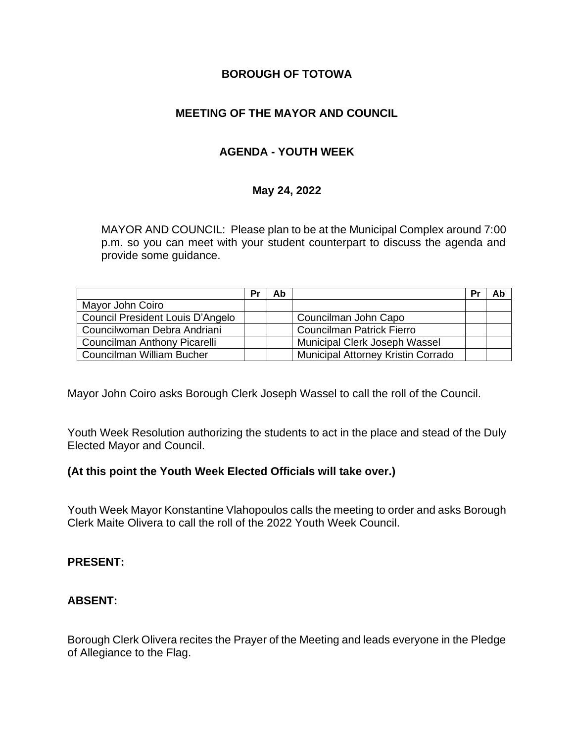# **BOROUGH OF TOTOWA**

# **MEETING OF THE MAYOR AND COUNCIL**

# **AGENDA - YOUTH WEEK**

#### **May 24, 2022**

MAYOR AND COUNCIL: Please plan to be at the Municipal Complex around 7:00 p.m. so you can meet with your student counterpart to discuss the agenda and provide some guidance.

|                                  | Pr | Ab |                                           | P |  |
|----------------------------------|----|----|-------------------------------------------|---|--|
| Mayor John Coiro                 |    |    |                                           |   |  |
| Council President Louis D'Angelo |    |    | Councilman John Capo                      |   |  |
| Councilwoman Debra Andriani      |    |    | <b>Councilman Patrick Fierro</b>          |   |  |
| Councilman Anthony Picarelli     |    |    | Municipal Clerk Joseph Wassel             |   |  |
| Councilman William Bucher        |    |    | <b>Municipal Attorney Kristin Corrado</b> |   |  |

Mayor John Coiro asks Borough Clerk Joseph Wassel to call the roll of the Council.

Youth Week Resolution authorizing the students to act in the place and stead of the Duly Elected Mayor and Council.

## **(At this point the Youth Week Elected Officials will take over.)**

Youth Week Mayor Konstantine Vlahopoulos calls the meeting to order and asks Borough Clerk Maite Olivera to call the roll of the 2022 Youth Week Council.

#### **PRESENT:**

## **ABSENT:**

Borough Clerk Olivera recites the Prayer of the Meeting and leads everyone in the Pledge of Allegiance to the Flag.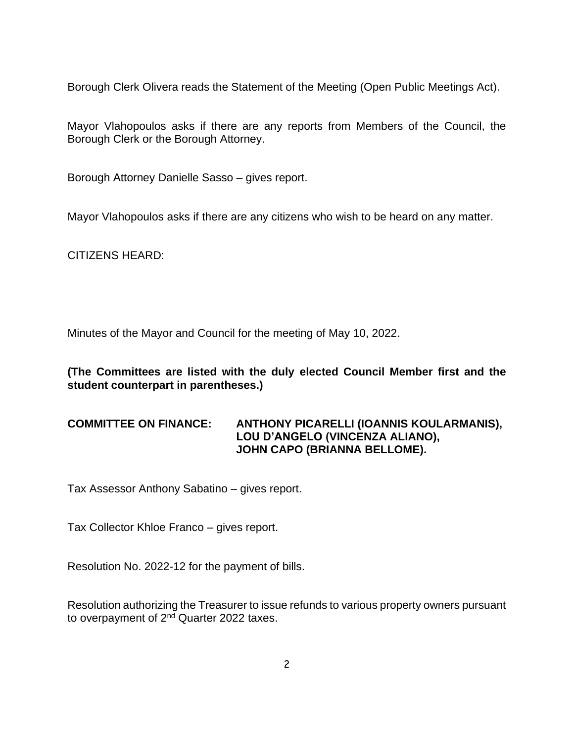Borough Clerk Olivera reads the Statement of the Meeting (Open Public Meetings Act).

Mayor Vlahopoulos asks if there are any reports from Members of the Council, the Borough Clerk or the Borough Attorney.

Borough Attorney Danielle Sasso – gives report.

Mayor Vlahopoulos asks if there are any citizens who wish to be heard on any matter.

CITIZENS HEARD:

Minutes of the Mayor and Council for the meeting of May 10, 2022.

**(The Committees are listed with the duly elected Council Member first and the student counterpart in parentheses.)**

# **COMMITTEE ON FINANCE: ANTHONY PICARELLI (IOANNIS KOULARMANIS), LOU D'ANGELO (VINCENZA ALIANO), JOHN CAPO (BRIANNA BELLOME).**

Tax Assessor Anthony Sabatino – gives report.

Tax Collector Khloe Franco – gives report.

Resolution No. 2022-12 for the payment of bills.

Resolution authorizing the Treasurer to issue refunds to various property owners pursuant to overpayment of 2<sup>nd</sup> Quarter 2022 taxes.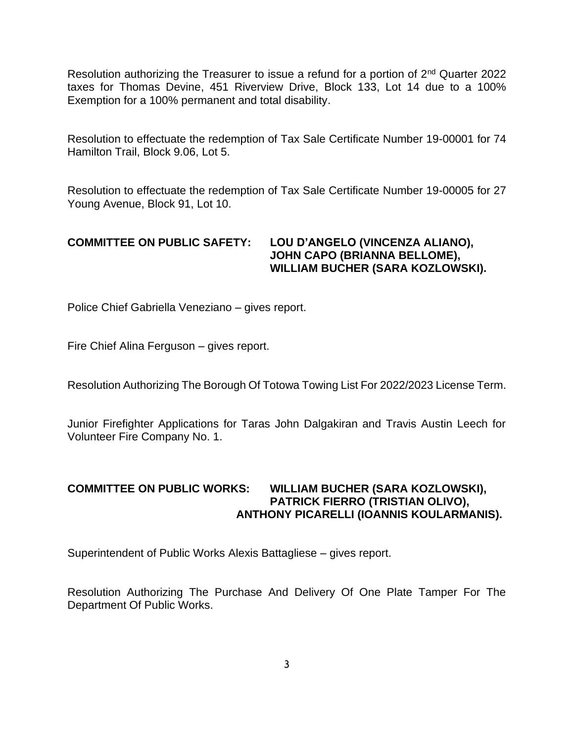Resolution authorizing the Treasurer to issue a refund for a portion of 2<sup>nd</sup> Quarter 2022 taxes for Thomas Devine, 451 Riverview Drive, Block 133, Lot 14 due to a 100% Exemption for a 100% permanent and total disability.

Resolution to effectuate the redemption of Tax Sale Certificate Number 19-00001 for 74 Hamilton Trail, Block 9.06, Lot 5.

Resolution to effectuate the redemption of Tax Sale Certificate Number 19-00005 for 27 Young Avenue, Block 91, Lot 10.

## **COMMITTEE ON PUBLIC SAFETY: LOU D'ANGELO (VINCENZA ALIANO), JOHN CAPO (BRIANNA BELLOME), WILLIAM BUCHER (SARA KOZLOWSKI).**

Police Chief Gabriella Veneziano – gives report.

Fire Chief Alina Ferguson – gives report.

Resolution Authorizing The Borough Of Totowa Towing List For 2022/2023 License Term.

Junior Firefighter Applications for Taras John Dalgakiran and Travis Austin Leech for Volunteer Fire Company No. 1.

## **COMMITTEE ON PUBLIC WORKS: WILLIAM BUCHER (SARA KOZLOWSKI), PATRICK FIERRO (TRISTIAN OLIVO), ANTHONY PICARELLI (IOANNIS KOULARMANIS).**

Superintendent of Public Works Alexis Battagliese – gives report.

Resolution Authorizing The Purchase And Delivery Of One Plate Tamper For The Department Of Public Works.